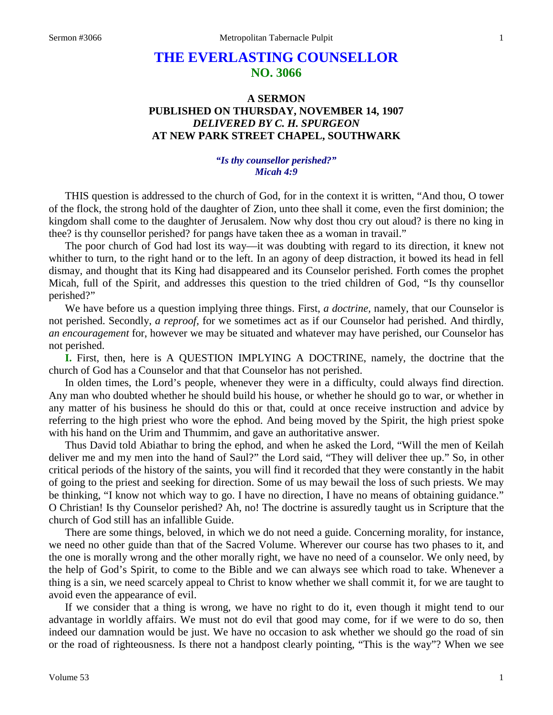## **THE EVERLASTING COUNSELLOR NO. 3066**

## **A SERMON PUBLISHED ON THURSDAY, NOVEMBER 14, 1907** *DELIVERED BY C. H. SPURGEON* **AT NEW PARK STREET CHAPEL, SOUTHWARK**

## *"Is thy counsellor perished?" Micah 4:9*

THIS question is addressed to the church of God, for in the context it is written, "And thou, O tower of the flock, the strong hold of the daughter of Zion, unto thee shall it come, even the first dominion; the kingdom shall come to the daughter of Jerusalem. Now why dost thou cry out aloud? is there no king in thee? is thy counsellor perished? for pangs have taken thee as a woman in travail."

The poor church of God had lost its way—it was doubting with regard to its direction, it knew not whither to turn, to the right hand or to the left. In an agony of deep distraction, it bowed its head in fell dismay, and thought that its King had disappeared and its Counselor perished. Forth comes the prophet Micah, full of the Spirit, and addresses this question to the tried children of God, "Is thy counsellor perished?"

We have before us a question implying three things. First, *a doctrine,* namely, that our Counselor is not perished. Secondly, *a reproof,* for we sometimes act as if our Counselor had perished. And thirdly, *an encouragement* for, however we may be situated and whatever may have perished, our Counselor has not perished.

**I.** First, then, here is A QUESTION IMPLYING A DOCTRINE, namely, the doctrine that the church of God has a Counselor and that that Counselor has not perished.

In olden times, the Lord's people, whenever they were in a difficulty, could always find direction. Any man who doubted whether he should build his house, or whether he should go to war, or whether in any matter of his business he should do this or that, could at once receive instruction and advice by referring to the high priest who wore the ephod. And being moved by the Spirit, the high priest spoke with his hand on the Urim and Thummim, and gave an authoritative answer.

Thus David told Abiathar to bring the ephod, and when he asked the Lord, "Will the men of Keilah deliver me and my men into the hand of Saul?" the Lord said, "They will deliver thee up." So, in other critical periods of the history of the saints, you will find it recorded that they were constantly in the habit of going to the priest and seeking for direction. Some of us may bewail the loss of such priests. We may be thinking, "I know not which way to go. I have no direction, I have no means of obtaining guidance." O Christian! Is thy Counselor perished? Ah, no! The doctrine is assuredly taught us in Scripture that the church of God still has an infallible Guide.

There are some things, beloved, in which we do not need a guide. Concerning morality, for instance, we need no other guide than that of the Sacred Volume. Wherever our course has two phases to it, and the one is morally wrong and the other morally right, we have no need of a counselor. We only need, by the help of God's Spirit, to come to the Bible and we can always see which road to take. Whenever a thing is a sin, we need scarcely appeal to Christ to know whether we shall commit it, for we are taught to avoid even the appearance of evil.

If we consider that a thing is wrong, we have no right to do it, even though it might tend to our advantage in worldly affairs. We must not do evil that good may come, for if we were to do so, then indeed our damnation would be just. We have no occasion to ask whether we should go the road of sin or the road of righteousness. Is there not a handpost clearly pointing, "This is the way"? When we see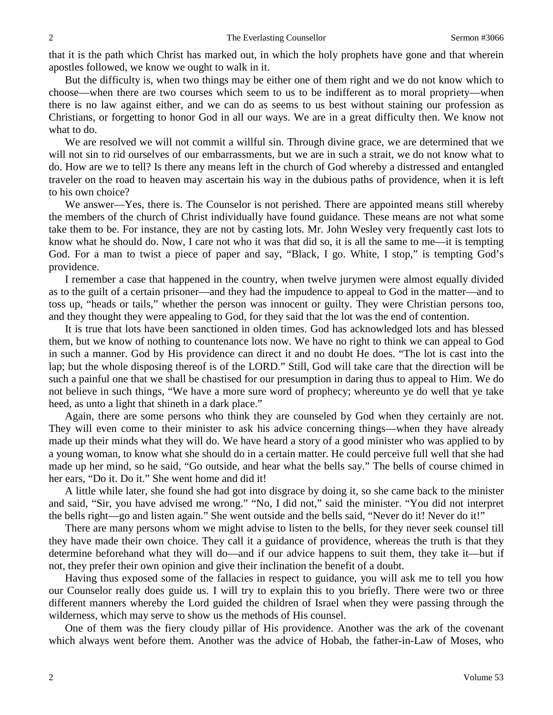that it is the path which Christ has marked out, in which the holy prophets have gone and that wherein apostles followed, we know we ought to walk in it.

But the difficulty is, when two things may be either one of them right and we do not know which to choose—when there are two courses which seem to us to be indifferent as to moral propriety—when there is no law against either, and we can do as seems to us best without staining our profession as Christians, or forgetting to honor God in all our ways. We are in a great difficulty then. We know not what to do.

We are resolved we will not commit a willful sin. Through divine grace, we are determined that we will not sin to rid ourselves of our embarrassments, but we are in such a strait, we do not know what to do. How are we to tell? Is there any means left in the church of God whereby a distressed and entangled traveler on the road to heaven may ascertain his way in the dubious paths of providence, when it is left to his own choice?

We answer—Yes, there is. The Counselor is not perished. There are appointed means still whereby the members of the church of Christ individually have found guidance. These means are not what some take them to be. For instance, they are not by casting lots. Mr. John Wesley very frequently cast lots to know what he should do. Now, I care not who it was that did so, it is all the same to me—it is tempting God. For a man to twist a piece of paper and say, "Black, I go. White, I stop," is tempting God's providence.

I remember a case that happened in the country, when twelve jurymen were almost equally divided as to the guilt of a certain prisoner—and they had the impudence to appeal to God in the matter—and to toss up, "heads or tails," whether the person was innocent or guilty. They were Christian persons too, and they thought they were appealing to God, for they said that the lot was the end of contention.

It is true that lots have been sanctioned in olden times. God has acknowledged lots and has blessed them, but we know of nothing to countenance lots now. We have no right to think we can appeal to God in such a manner. God by His providence can direct it and no doubt He does. "The lot is cast into the lap; but the whole disposing thereof is of the LORD." Still, God will take care that the direction will be such a painful one that we shall be chastised for our presumption in daring thus to appeal to Him. We do not believe in such things, "We have a more sure word of prophecy; whereunto ye do well that ye take heed, as unto a light that shineth in a dark place."

Again, there are some persons who think they are counseled by God when they certainly are not. They will even come to their minister to ask his advice concerning things—when they have already made up their minds what they will do. We have heard a story of a good minister who was applied to by a young woman, to know what she should do in a certain matter. He could perceive full well that she had made up her mind, so he said, "Go outside, and hear what the bells say." The bells of course chimed in her ears, "Do it. Do it." She went home and did it!

A little while later, she found she had got into disgrace by doing it, so she came back to the minister and said, "Sir, you have advised me wrong." "No, I did not," said the minister. "You did not interpret the bells right—go and listen again." She went outside and the bells said, "Never do it! Never do it!"

There are many persons whom we might advise to listen to the bells, for they never seek counsel till they have made their own choice. They call it a guidance of providence, whereas the truth is that they determine beforehand what they will do—and if our advice happens to suit them, they take it—but if not, they prefer their own opinion and give their inclination the benefit of a doubt.

Having thus exposed some of the fallacies in respect to guidance, you will ask me to tell you how our Counselor really does guide us. I will try to explain this to you briefly. There were two or three different manners whereby the Lord guided the children of Israel when they were passing through the wilderness, which may serve to show us the methods of His counsel.

One of them was the fiery cloudy pillar of His providence. Another was the ark of the covenant which always went before them. Another was the advice of Hobab, the father-in-Law of Moses, who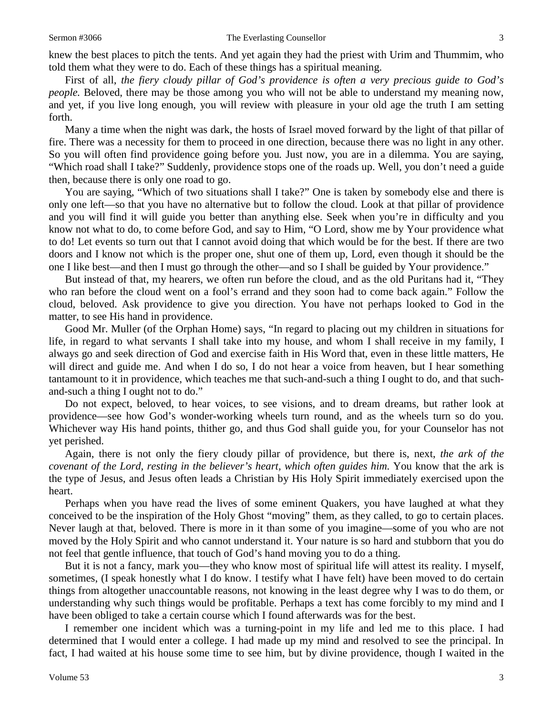knew the best places to pitch the tents. And yet again they had the priest with Urim and Thummim, who told them what they were to do. Each of these things has a spiritual meaning.

First of all, *the fiery cloudy pillar of God's providence is often a very precious guide to God's people*. Beloved, there may be those among you who will not be able to understand my meaning now, and yet, if you live long enough, you will review with pleasure in your old age the truth I am setting forth.

Many a time when the night was dark, the hosts of Israel moved forward by the light of that pillar of fire. There was a necessity for them to proceed in one direction, because there was no light in any other. So you will often find providence going before you*.* Just now, you are in a dilemma. You are saying, "Which road shall I take?" Suddenly, providence stops one of the roads up. Well, you don't need a guide then, because there is only one road to go.

You are saying, "Which of two situations shall I take?" One is taken by somebody else and there is only one left—so that you have no alternative but to follow the cloud. Look at that pillar of providence and you will find it will guide you better than anything else. Seek when you're in difficulty and you know not what to do, to come before God, and say to Him, "O Lord, show me by Your providence what to do! Let events so turn out that I cannot avoid doing that which would be for the best. If there are two doors and I know not which is the proper one, shut one of them up, Lord, even though it should be the one I like best—and then I must go through the other—and so I shall be guided by Your providence."

But instead of that, my hearers, we often run before the cloud, and as the old Puritans had it, "They who ran before the cloud went on a fool's errand and they soon had to come back again." Follow the cloud, beloved. Ask providence to give you direction. You have not perhaps looked to God in the matter, to see His hand in providence.

Good Mr. Muller (of the Orphan Home) says, "In regard to placing out my children in situations for life, in regard to what servants I shall take into my house, and whom I shall receive in my family, I always go and seek direction of God and exercise faith in His Word that, even in these little matters, He will direct and guide me. And when I do so, I do not hear a voice from heaven, but I hear something tantamount to it in providence, which teaches me that such-and-such a thing I ought to do, and that suchand-such a thing I ought not to do."

Do not expect, beloved, to hear voices, to see visions, and to dream dreams, but rather look at providence—see how God's wonder-working wheels turn round, and as the wheels turn so do you. Whichever way His hand points, thither go, and thus God shall guide you, for your Counselor has not yet perished.

Again, there is not only the fiery cloudy pillar of providence, but there is, next, *the ark of the covenant of the Lord, resting in the believer's heart, which often guides him.* You know that the ark is the type of Jesus, and Jesus often leads a Christian by His Holy Spirit immediately exercised upon the heart.

Perhaps when you have read the lives of some eminent Quakers, you have laughed at what they conceived to be the inspiration of the Holy Ghost "moving" them, as they called, to go to certain places. Never laugh at that, beloved. There is more in it than some of you imagine—some of you who are not moved by the Holy Spirit and who cannot understand it. Your nature is so hard and stubborn that you do not feel that gentle influence, that touch of God's hand moving you to do a thing.

But it is not a fancy, mark you—they who know most of spiritual life will attest its reality. I myself, sometimes, (I speak honestly what I do know. I testify what I have felt) have been moved to do certain things from altogether unaccountable reasons, not knowing in the least degree why I was to do them, or understanding why such things would be profitable. Perhaps a text has come forcibly to my mind and I have been obliged to take a certain course which I found afterwards was for the best.

I remember one incident which was a turning-point in my life and led me to this place. I had determined that I would enter a college. I had made up my mind and resolved to see the principal. In fact, I had waited at his house some time to see him, but by divine providence, though I waited in the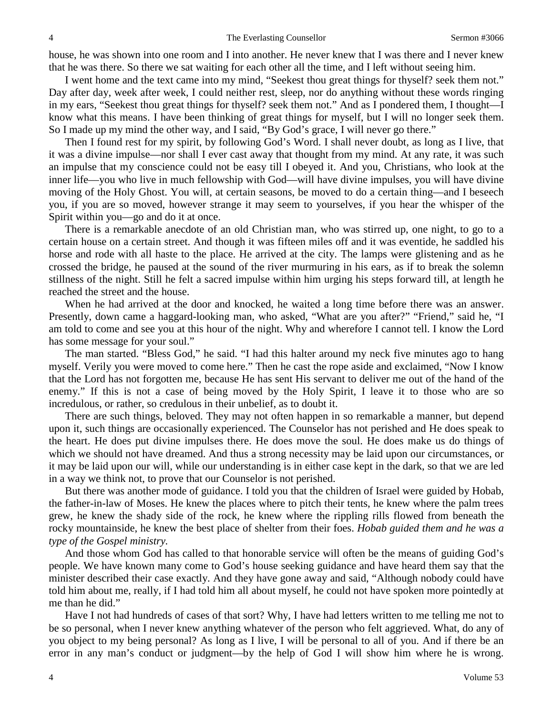house, he was shown into one room and I into another. He never knew that I was there and I never knew that he was there. So there we sat waiting for each other all the time, and I left without seeing him.

I went home and the text came into my mind, "Seekest thou great things for thyself? seek them not." Day after day, week after week, I could neither rest, sleep, nor do anything without these words ringing in my ears, "Seekest thou great things for thyself? seek them not." And as I pondered them, I thought—I know what this means. I have been thinking of great things for myself, but I will no longer seek them. So I made up my mind the other way, and I said, "By God's grace, I will never go there."

Then I found rest for my spirit, by following God's Word. I shall never doubt, as long as I live, that it was a divine impulse—nor shall I ever cast away that thought from my mind. At any rate, it was such an impulse that my conscience could not be easy till I obeyed it. And you, Christians, who look at the inner life—you who live in much fellowship with God—will have divine impulses, you will have divine moving of the Holy Ghost. You will, at certain seasons, be moved to do a certain thing—and I beseech you, if you are so moved, however strange it may seem to yourselves, if you hear the whisper of the Spirit within you—go and do it at once.

There is a remarkable anecdote of an old Christian man, who was stirred up, one night, to go to a certain house on a certain street. And though it was fifteen miles off and it was eventide, he saddled his horse and rode with all haste to the place. He arrived at the city. The lamps were glistening and as he crossed the bridge, he paused at the sound of the river murmuring in his ears, as if to break the solemn stillness of the night. Still he felt a sacred impulse within him urging his steps forward till, at length he reached the street and the house.

When he had arrived at the door and knocked, he waited a long time before there was an answer. Presently, down came a haggard-looking man, who asked, "What are you after?" "Friend," said he, "I am told to come and see you at this hour of the night. Why and wherefore I cannot tell. I know the Lord has some message for your soul."

The man started. "Bless God," he said. "I had this halter around my neck five minutes ago to hang myself. Verily you were moved to come here." Then he cast the rope aside and exclaimed, "Now I know that the Lord has not forgotten me, because He has sent His servant to deliver me out of the hand of the enemy." If this is not a case of being moved by the Holy Spirit, I leave it to those who are so incredulous, or rather, so credulous in their unbelief, as to doubt it.

There are such things, beloved. They may not often happen in so remarkable a manner, but depend upon it, such things are occasionally experienced. The Counselor has not perished and He does speak to the heart. He does put divine impulses there. He does move the soul. He does make us do things of which we should not have dreamed. And thus a strong necessity may be laid upon our circumstances, or it may be laid upon our will, while our understanding is in either case kept in the dark, so that we are led in a way we think not, to prove that our Counselor is not perished.

But there was another mode of guidance. I told you that the children of Israel were guided by Hobab, the father-in-law of Moses. He knew the places where to pitch their tents, he knew where the palm trees grew, he knew the shady side of the rock, he knew where the rippling rills flowed from beneath the rocky mountainside, he knew the best place of shelter from their foes. *Hobab guided them and he was a type of the Gospel ministry.*

And those whom God has called to that honorable service will often be the means of guiding God's people. We have known many come to God's house seeking guidance and have heard them say that the minister described their case exactly. And they have gone away and said, "Although nobody could have told him about me, really, if I had told him all about myself, he could not have spoken more pointedly at me than he did."

Have I not had hundreds of cases of that sort? Why, I have had letters written to me telling me not to be so personal, when I never knew anything whatever of the person who felt aggrieved. What, do any of you object to my being personal? As long as I live, I will be personal to all of you. And if there be an error in any man's conduct or judgment—by the help of God I will show him where he is wrong.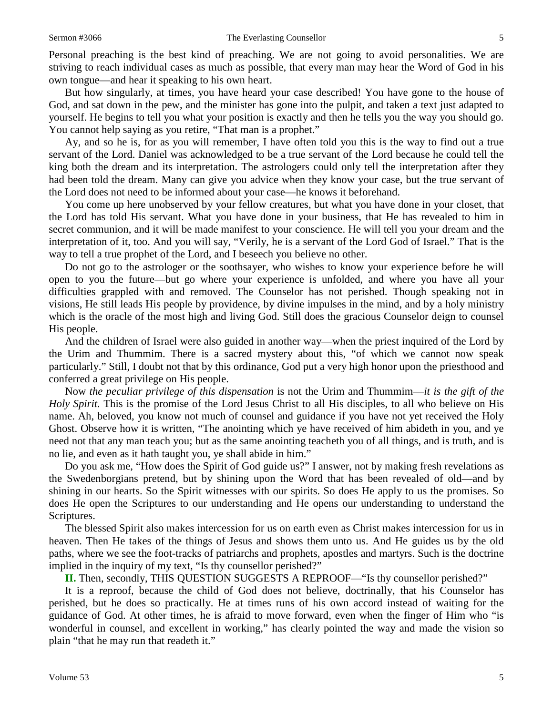Personal preaching is the best kind of preaching. We are not going to avoid personalities. We are striving to reach individual cases as much as possible, that every man may hear the Word of God in his own tongue—and hear it speaking to his own heart.

But how singularly, at times, you have heard your case described! You have gone to the house of God, and sat down in the pew, and the minister has gone into the pulpit, and taken a text just adapted to yourself. He begins to tell you what your position is exactly and then he tells you the way you should go. You cannot help saying as you retire, "That man is a prophet."

Ay, and so he is, for as you will remember, I have often told you this is the way to find out a true servant of the Lord. Daniel was acknowledged to be a true servant of the Lord because he could tell the king both the dream and its interpretation. The astrologers could only tell the interpretation after they had been told the dream. Many can give you advice when they know your case, but the true servant of the Lord does not need to be informed about your case—he knows it beforehand.

You come up here unobserved by your fellow creatures, but what you have done in your closet, that the Lord has told His servant. What you have done in your business, that He has revealed to him in secret communion, and it will be made manifest to your conscience. He will tell you your dream and the interpretation of it, too. And you will say, "Verily, he is a servant of the Lord God of Israel." That is the way to tell a true prophet of the Lord, and I beseech you believe no other.

Do not go to the astrologer or the soothsayer, who wishes to know your experience before he will open to you the future—but go where your experience is unfolded, and where you have all your difficulties grappled with and removed. The Counselor has not perished. Though speaking not in visions, He still leads His people by providence, by divine impulses in the mind, and by a holy ministry which is the oracle of the most high and living God. Still does the gracious Counselor deign to counsel His people.

And the children of Israel were also guided in another way—when the priest inquired of the Lord by the Urim and Thummim. There is a sacred mystery about this, "of which we cannot now speak particularly." Still, I doubt not that by this ordinance, God put a very high honor upon the priesthood and conferred a great privilege on His people.

Now *the peculiar privilege of this dispensation* is not the Urim and Thummim—*it is the gift of the Holy Spirit.* This is the promise of the Lord Jesus Christ to all His disciples, to all who believe on His name. Ah, beloved, you know not much of counsel and guidance if you have not yet received the Holy Ghost. Observe how it is written, "The anointing which ye have received of him abideth in you, and ye need not that any man teach you; but as the same anointing teacheth you of all things, and is truth, and is no lie, and even as it hath taught you, ye shall abide in him."

Do you ask me, "How does the Spirit of God guide us?" I answer, not by making fresh revelations as the Swedenborgians pretend, but by shining upon the Word that has been revealed of old—and by shining in our hearts. So the Spirit witnesses with our spirits. So does He apply to us the promises. So does He open the Scriptures to our understanding and He opens our understanding to understand the Scriptures.

The blessed Spirit also makes intercession for us on earth even as Christ makes intercession for us in heaven. Then He takes of the things of Jesus and shows them unto us. And He guides us by the old paths, where we see the foot-tracks of patriarchs and prophets, apostles and martyrs. Such is the doctrine implied in the inquiry of my text, "Is thy counsellor perished?"

**II.** Then, secondly, THIS QUESTION SUGGESTS A REPROOF—"Is thy counsellor perished?"

It is a reproof, because the child of God does not believe, doctrinally, that his Counselor has perished, but he does so practically. He at times runs of his own accord instead of waiting for the guidance of God. At other times, he is afraid to move forward, even when the finger of Him who "is wonderful in counsel, and excellent in working," has clearly pointed the way and made the vision so plain "that he may run that readeth it."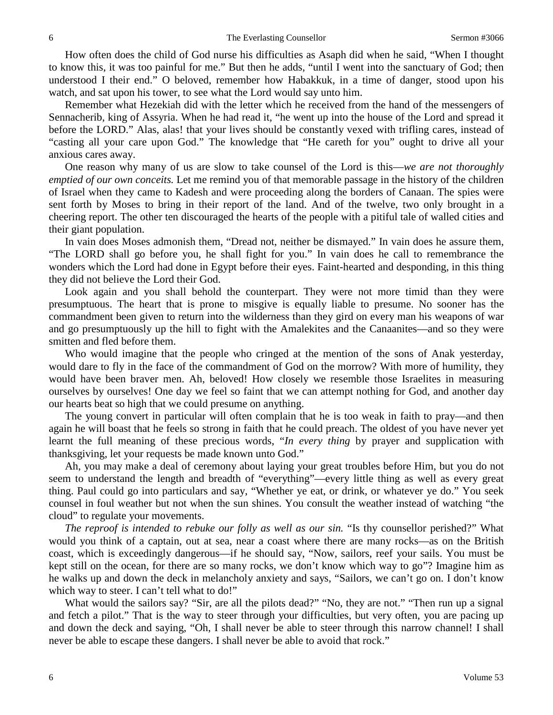How often does the child of God nurse his difficulties as Asaph did when he said, "When I thought to know this, it was too painful for me." But then he adds, "until I went into the sanctuary of God; then understood I their end." O beloved, remember how Habakkuk, in a time of danger, stood upon his watch, and sat upon his tower, to see what the Lord would say unto him.

Remember what Hezekiah did with the letter which he received from the hand of the messengers of Sennacherib, king of Assyria. When he had read it, "he went up into the house of the Lord and spread it before the LORD." Alas, alas! that your lives should be constantly vexed with trifling cares, instead of "casting all your care upon God." The knowledge that "He careth for you" ought to drive all your anxious cares away.

One reason why many of us are slow to take counsel of the Lord is this—*we are not thoroughly emptied of our own conceits.* Let me remind you of that memorable passage in the history of the children of Israel when they came to Kadesh and were proceeding along the borders of Canaan. The spies were sent forth by Moses to bring in their report of the land. And of the twelve, two only brought in a cheering report. The other ten discouraged the hearts of the people with a pitiful tale of walled cities and their giant population.

In vain does Moses admonish them, "Dread not, neither be dismayed." In vain does he assure them, "The LORD shall go before you, he shall fight for you." In vain does he call to remembrance the wonders which the Lord had done in Egypt before their eyes. Faint-hearted and desponding, in this thing they did not believe the Lord their God.

Look again and you shall behold the counterpart. They were not more timid than they were presumptuous. The heart that is prone to misgive is equally liable to presume. No sooner has the commandment been given to return into the wilderness than they gird on every man his weapons of war and go presumptuously up the hill to fight with the Amalekites and the Canaanites—and so they were smitten and fled before them.

Who would imagine that the people who cringed at the mention of the sons of Anak yesterday, would dare to fly in the face of the commandment of God on the morrow? With more of humility, they would have been braver men. Ah, beloved! How closely we resemble those Israelites in measuring ourselves by ourselves! One day we feel so faint that we can attempt nothing for God, and another day our hearts beat so high that we could presume on anything.

The young convert in particular will often complain that he is too weak in faith to pray—and then again he will boast that he feels so strong in faith that he could preach. The oldest of you have never yet learnt the full meaning of these precious words, "*In every thing* by prayer and supplication with thanksgiving, let your requests be made known unto God."

Ah, you may make a deal of ceremony about laying your great troubles before Him, but you do not seem to understand the length and breadth of "everything"—every little thing as well as every great thing. Paul could go into particulars and say, "Whether ye eat, or drink, or whatever ye do." You seek counsel in foul weather but not when the sun shines. You consult the weather instead of watching "the cloud" to regulate your movements.

*The reproof is intended to rebuke our folly as well as our sin.* "Is thy counsellor perished?" What would you think of a captain, out at sea, near a coast where there are many rocks—as on the British coast, which is exceedingly dangerous—if he should say, "Now, sailors, reef your sails. You must be kept still on the ocean, for there are so many rocks, we don't know which way to go"? Imagine him as he walks up and down the deck in melancholy anxiety and says, "Sailors, we can't go on. I don't know which way to steer. I can't tell what to do!"

What would the sailors say? "Sir, are all the pilots dead?" "No, they are not." "Then run up a signal and fetch a pilot." That is the way to steer through your difficulties, but very often, you are pacing up and down the deck and saying, "Oh, I shall never be able to steer through this narrow channel! I shall never be able to escape these dangers. I shall never be able to avoid that rock."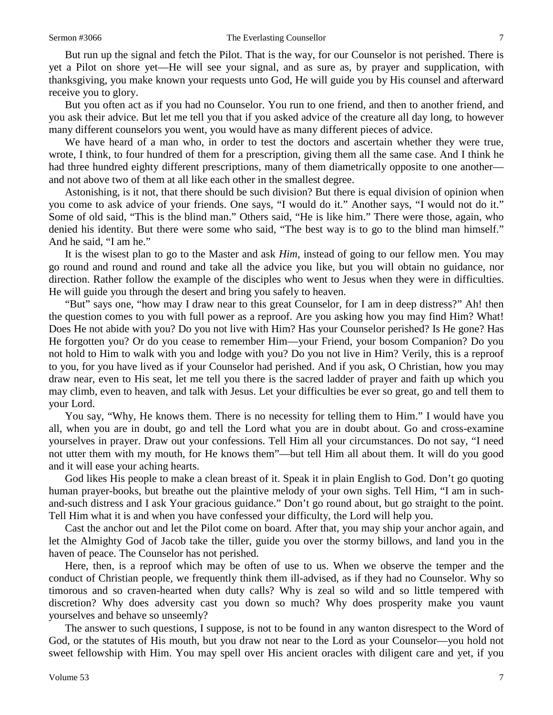But run up the signal and fetch the Pilot. That is the way, for our Counselor is not perished. There is yet a Pilot on shore yet—He will see your signal, and as sure as, by prayer and supplication, with thanksgiving, you make known your requests unto God, He will guide you by His counsel and afterward receive you to glory.

But you often act as if you had no Counselor. You run to one friend, and then to another friend, and you ask their advice. But let me tell you that if you asked advice of the creature all day long, to however many different counselors you went, you would have as many different pieces of advice.

We have heard of a man who, in order to test the doctors and ascertain whether they were true, wrote, I think, to four hundred of them for a prescription, giving them all the same case. And I think he had three hundred eighty different prescriptions, many of them diametrically opposite to one another and not above two of them at all like each other in the smallest degree.

Astonishing, is it not, that there should be such division? But there is equal division of opinion when you come to ask advice of your friends. One says*,* "I would do it." Another says, "I would not do it." Some of old said, "This is the blind man." Others said, "He is like him." There were those, again, who denied his identity. But there were some who said, "The best way is to go to the blind man himself." And he said, "I am he."

It is the wisest plan to go to the Master and ask *Him,* instead of going to our fellow men. You may go round and round and round and take all the advice you like, but you will obtain no guidance, nor direction. Rather follow the example of the disciples who went to Jesus when they were in difficulties. He will guide you through the desert and bring you safely to heaven.

"But" says one, "how may I draw near to this great Counselor, for I am in deep distress?" Ah! then the question comes to you with full power as a reproof. Are you asking how you may find Him? What! Does He not abide with you? Do you not live with Him? Has your Counselor perished? Is He gone? Has He forgotten you? Or do you cease to remember Him—your Friend, your bosom Companion? Do you not hold to Him to walk with you and lodge with you? Do you not live in Him? Verily, this is a reproof to you, for you have lived as if your Counselor had perished. And if you ask, O Christian, how you may draw near, even to His seat, let me tell you there is the sacred ladder of prayer and faith up which you may climb, even to heaven, and talk with Jesus. Let your difficulties be ever so great, go and tell them to your Lord.

You say, "Why*,* He knows them. There is no necessity for telling them to Him." I would have you all, when you are in doubt, go and tell the Lord what you are in doubt about. Go and cross-examine yourselves in prayer. Draw out your confessions. Tell Him all your circumstances. Do not say, "I need not utter them with my mouth, for He knows them"—but tell Him all about them. It will do you good and it will ease your aching hearts.

God likes His people to make a clean breast of it. Speak it in plain English to God. Don't go quoting human prayer-books, but breathe out the plaintive melody of your own sighs. Tell Him, "I am in suchand-such distress and I ask Your gracious guidance." Don't go round about, but go straight to the point. Tell Him what it is and when you have confessed your difficulty, the Lord will help you.

Cast the anchor out and let the Pilot come on board. After that, you may ship your anchor again, and let the Almighty God of Jacob take the tiller, guide you over the stormy billows, and land you in the haven of peace. The Counselor has not perished.

Here, then, is a reproof which may be often of use to us. When we observe the temper and the conduct of Christian people, we frequently think them ill-advised, as if they had no Counselor. Why so timorous and so craven-hearted when duty calls? Why is zeal so wild and so little tempered with discretion? Why does adversity cast you down so much? Why does prosperity make you vaunt yourselves and behave so unseemly?

The answer to such questions, I suppose, is not to be found in any wanton disrespect to the Word of God, or the statutes of His mouth, but you draw not near to the Lord as your Counselor—you hold not sweet fellowship with Him. You may spell over His ancient oracles with diligent care and yet, if you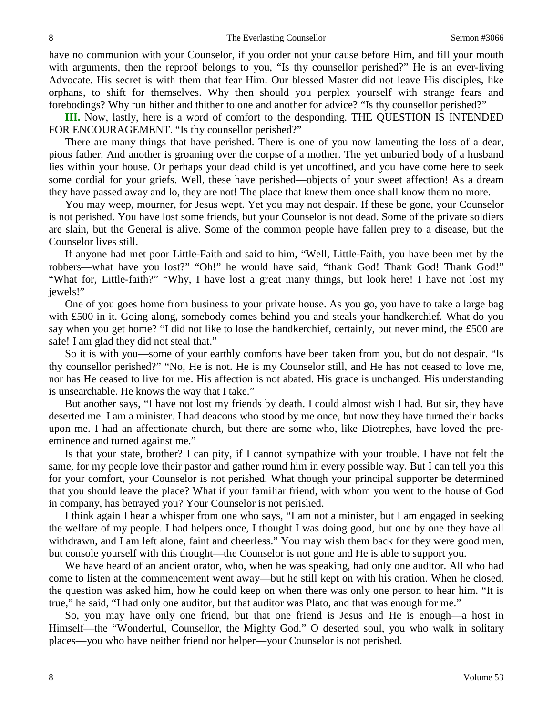have no communion with your Counselor, if you order not your cause before Him, and fill your mouth with arguments, then the reproof belongs to you, "Is thy counsellor perished?" He is an ever-living Advocate. His secret is with them that fear Him. Our blessed Master did not leave His disciples, like orphans, to shift for themselves. Why then should you perplex yourself with strange fears and forebodings? Why run hither and thither to one and another for advice? "Is thy counsellor perished?"

**III.** Now, lastly, here is a word of comfort to the desponding. THE QUESTION IS INTENDED FOR ENCOURAGEMENT. "Is thy counsellor perished?"

There are many things that have perished. There is one of you now lamenting the loss of a dear, pious father. And another is groaning over the corpse of a mother. The yet unburied body of a husband lies within your house. Or perhaps your dead child is yet uncoffined, and you have come here to seek some cordial for your griefs. Well, these have perished—objects of your sweet affection! As a dream they have passed away and lo, they are not! The place that knew them once shall know them no more.

You may weep, mourner, for Jesus wept. Yet you may not despair. If these be gone, your Counselor is not perished. You have lost some friends, but your Counselor is not dead. Some of the private soldiers are slain, but the General is alive. Some of the common people have fallen prey to a disease, but the Counselor lives still.

If anyone had met poor Little-Faith and said to him, "Well, Little-Faith, you have been met by the robbers—what have you lost?" "Oh!" he would have said, "thank God! Thank God! Thank God!" "What for, Little-faith?" "Why, I have lost a great many things, but look here! I have not lost my jewels!"

One of you goes home from business to your private house. As you go, you have to take a large bag with £500 in it. Going along, somebody comes behind you and steals your handkerchief*.* What do you say when you get home? "I did not like to lose the handkerchief, certainly, but never mind, the £500 are safe! I am glad they did not steal that."

So it is with you—some of your earthly comforts have been taken from you, but do not despair. "Is thy counsellor perished?" "No, He is not. He is my Counselor still, and He has not ceased to love me, nor has He ceased to live for me. His affection is not abated. His grace is unchanged. His understanding is unsearchable. He knows the way that I take."

But another says, "I have not lost my friends by death. I could almost wish I had. But sir, they have deserted me. I am a minister. I had deacons who stood by me once, but now they have turned their backs upon me. I had an affectionate church, but there are some who, like Diotrephes, have loved the preeminence and turned against me."

Is that your state, brother? I can pity, if I cannot sympathize with your trouble. I have not felt the same, for my people love their pastor and gather round him in every possible way. But I can tell you this for your comfort, your Counselor is not perished. What though your principal supporter be determined that you should leave the place? What if your familiar friend, with whom you went to the house of God in company, has betrayed you? Your Counselor is not perished.

I think again I hear a whisper from one who says, "I am not a minister, but I am engaged in seeking the welfare of my people. I had helpers once, I thought I was doing good, but one by one they have all withdrawn, and I am left alone, faint and cheerless." You may wish them back for they were good men, but console yourself with this thought—the Counselor is not gone and He is able to support you.

We have heard of an ancient orator, who, when he was speaking, had only one auditor. All who had come to listen at the commencement went away—but he still kept on with his oration. When he closed, the question was asked him, how he could keep on when there was only one person to hear him. "It is true," he said, "I had only one auditor, but that auditor was Plato, and that was enough for me."

So, you may have only one friend, but that one friend is Jesus and He is enough—a host in Himself—the "Wonderful, Counsellor, the Mighty God." O deserted soul, you who walk in solitary places—you who have neither friend nor helper—your Counselor is not perished.